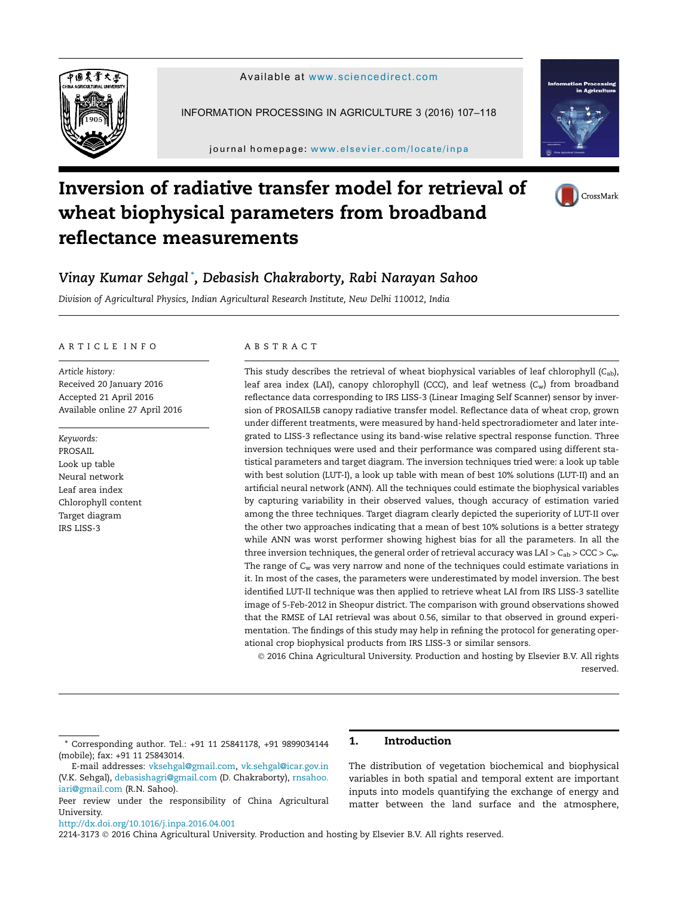



INFORMATION PROCESSING IN AGRICULTURE 3 (2016) 107–118

journal homepage: www.elsevier.com/locate/inpa



# Inversion of radiative transfer model for retrieval of wheat biophysical parameters from broadband reflectance measurements



# Vinay Kumar Sehgal \* , Debasish Chakraborty, Rabi Narayan Sahoo

*Division of Agricultural Physics, Indian Agricultural Research Institute, New Delhi 110012, India*

### ARTICLE INFO

*Article history:* Received 20 January 2016 Accepted 21 April 2016 Available online 27 April 2016

*Keywords:* PROSAIL Look up table Neural network Leaf area index Chlorophyll content Target diagram IRS LISS-3

# ABSTRACT

This study describes the retrieval of wheat biophysical variables of leaf chlorophyll (*C*ab), leaf area index (LAI), canopy chlorophyll (CCC), and leaf wetness (*C*w) from broadband reflectance data corresponding to IRS LISS-3 (Linear Imaging Self Scanner) sensor by inversion of PROSAIL5B canopy radiative transfer model. Reflectance data of wheat crop, grown under different treatments, were measured by hand-held spectroradiometer and later integrated to LISS-3 reflectance using its band-wise relative spectral response function. Three inversion techniques were used and their performance was compared using different statistical parameters and target diagram. The inversion techniques tried were: a look up table with best solution (LUT-I), a look up table with mean of best 10% solutions (LUT-II) and an artificial neural network (ANN). All the techniques could estimate the biophysical variables by capturing variability in their observed values, though accuracy of estimation varied among the three techniques. Target diagram clearly depicted the superiority of LUT-II over the other two approaches indicating that a mean of best 10% solutions is a better strategy while ANN was worst performer showing highest bias for all the parameters. In all the three inversion techniques, the general order of retrieval accuracy was LAI >  $C_{ab}$  >  $C_{CC}$  >  $C_{w}$ . The range of *C*<sup>w</sup> was very narrow and none of the techniques could estimate variations in it. In most of the cases, the parameters were underestimated by model inversion. The best identified LUT-II technique was then applied to retrieve wheat LAI from IRS LISS-3 satellite image of 5-Feb-2012 in Sheopur district. The comparison with ground observations showed that the RMSE of LAI retrieval was about 0.56, similar to that observed in ground experimentation. The findings of this study may help in refining the protocol for generating operational crop biophysical products from IRS LISS-3 or similar sensors.

 2016 China Agricultural University. Production and hosting by Elsevier B.V. All rights reserved.

1. Introduction

The distribution of vegetation biochemical and biophysical variables in both spatial and temporal extent are important inputs into models quantifying the exchange of energy and matter between the land surface and the atmosphere,

http://dx.doi.org/10.1016/j.inpa.2016.04.001

2214-3173 © 2016 China Agricultural University. Production and hosting by Elsevier B.V. All rights reserved.

<sup>\*</sup> Corresponding author. Tel.: +91 11 25841178, +91 9899034144 (mobile); fax: +91 11 25843014.

E-mail addresses: vksehgal@gmail.com, vk.sehgal@icar.gov.in (V.K. Sehgal), debasishagri@gmail.com (D. Chakraborty), rnsahoo. iari@gmail.com (R.N. Sahoo).

Peer review under the responsibility of China Agricultural University.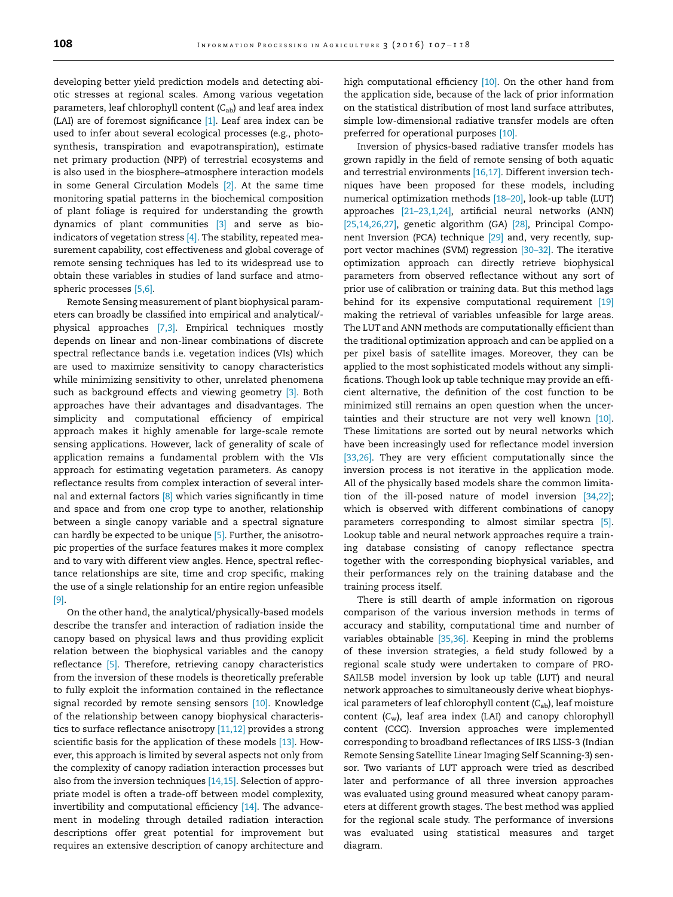developing better yield prediction models and detecting abiotic stresses at regional scales. Among various vegetation parameters, leaf chlorophyll content (*C*ab) and leaf area index (LAI) are of foremost significance [1]. Leaf area index can be used to infer about several ecological processes (e.g., photosynthesis, transpiration and evapotranspiration), estimate net primary production (NPP) of terrestrial ecosystems and is also used in the biosphere–atmosphere interaction models in some General Circulation Models [2]. At the same time monitoring spatial patterns in the biochemical composition of plant foliage is required for understanding the growth dynamics of plant communities [3] and serve as bioindicators of vegetation stress  $[4]$ . The stability, repeated measurement capability, cost effectiveness and global coverage of remote sensing techniques has led to its widespread use to obtain these variables in studies of land surface and atmospheric processes [5,6].

Remote Sensing measurement of plant biophysical parameters can broadly be classified into empirical and analytical/ physical approaches [7,3]. Empirical techniques mostly depends on linear and non-linear combinations of discrete spectral reflectance bands i.e. vegetation indices (VIs) which are used to maximize sensitivity to canopy characteristics while minimizing sensitivity to other, unrelated phenomena such as background effects and viewing geometry [3]. Both approaches have their advantages and disadvantages. The simplicity and computational efficiency of empirical approach makes it highly amenable for large-scale remote sensing applications. However, lack of generality of scale of application remains a fundamental problem with the VIs approach for estimating vegetation parameters. As canopy reflectance results from complex interaction of several internal and external factors <a>[8]</a> which varies significantly in time and space and from one crop type to another, relationship between a single canopy variable and a spectral signature can hardly be expected to be unique [5]. Further, the anisotropic properties of the surface features makes it more complex and to vary with different view angles. Hence, spectral reflectance relationships are site, time and crop specific, making the use of a single relationship for an entire region unfeasible [9].

On the other hand, the analytical/physically-based models describe the transfer and interaction of radiation inside the canopy based on physical laws and thus providing explicit relation between the biophysical variables and the canopy reflectance [5]. Therefore, retrieving canopy characteristics from the inversion of these models is theoretically preferable to fully exploit the information contained in the reflectance signal recorded by remote sensing sensors [10]. Knowledge of the relationship between canopy biophysical characteristics to surface reflectance anisotropy [11,12] provides a strong scientific basis for the application of these models [13]. However, this approach is limited by several aspects not only from the complexity of canopy radiation interaction processes but also from the inversion techniques [14,15]. Selection of appropriate model is often a trade-off between model complexity, invertibility and computational efficiency [14]. The advancement in modeling through detailed radiation interaction descriptions offer great potential for improvement but requires an extensive description of canopy architecture and

high computational efficiency [10]. On the other hand from the application side, because of the lack of prior information on the statistical distribution of most land surface attributes, simple low-dimensional radiative transfer models are often preferred for operational purposes [10].

Inversion of physics-based radiative transfer models has grown rapidly in the field of remote sensing of both aquatic and terrestrial environments [16,17]. Different inversion techniques have been proposed for these models, including numerical optimization methods [18–20], look-up table (LUT) approaches [21–23,1,24], artificial neural networks (ANN) [25,14,26,27], genetic algorithm (GA) [28], Principal Component Inversion (PCA) technique [29] and, very recently, support vector machines (SVM) regression [30–32]. The iterative optimization approach can directly retrieve biophysical parameters from observed reflectance without any sort of prior use of calibration or training data. But this method lags behind for its expensive computational requirement [19] making the retrieval of variables unfeasible for large areas. The LUT and ANN methods are computationally efficient than the traditional optimization approach and can be applied on a per pixel basis of satellite images. Moreover, they can be applied to the most sophisticated models without any simplifications. Though look up table technique may provide an efficient alternative, the definition of the cost function to be minimized still remains an open question when the uncertainties and their structure are not very well known [10]. These limitations are sorted out by neural networks which have been increasingly used for reflectance model inversion [33,26]. They are very efficient computationally since the inversion process is not iterative in the application mode. All of the physically based models share the common limitation of the ill-posed nature of model inversion [34,22]; which is observed with different combinations of canopy parameters corresponding to almost similar spectra [5]. Lookup table and neural network approaches require a training database consisting of canopy reflectance spectra together with the corresponding biophysical variables, and their performances rely on the training database and the training process itself.

There is still dearth of ample information on rigorous comparison of the various inversion methods in terms of accuracy and stability, computational time and number of variables obtainable [35,36]. Keeping in mind the problems of these inversion strategies, a field study followed by a regional scale study were undertaken to compare of PRO-SAIL5B model inversion by look up table (LUT) and neural network approaches to simultaneously derive wheat biophysical parameters of leaf chlorophyll content (C<sub>ab</sub>), leaf moisture content (*C*w), leaf area index (LAI) and canopy chlorophyll content (CCC). Inversion approaches were implemented corresponding to broadband reflectances of IRS LISS-3 (Indian Remote Sensing Satellite Linear Imaging Self Scanning-3) sensor. Two variants of LUT approach were tried as described later and performance of all three inversion approaches was evaluated using ground measured wheat canopy parameters at different growth stages. The best method was applied for the regional scale study. The performance of inversions was evaluated using statistical measures and target diagram.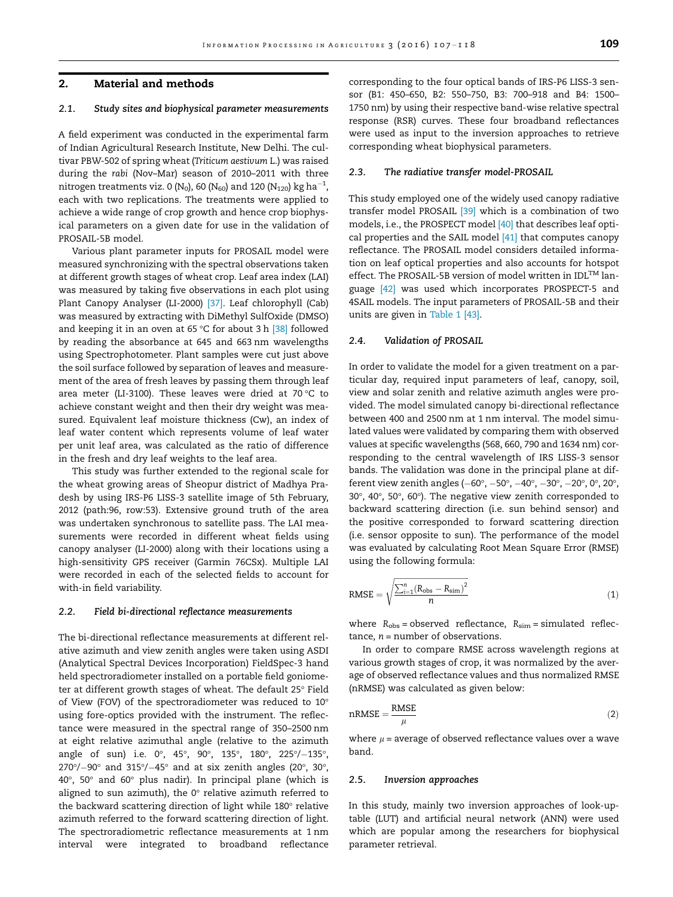# 2. Material and methods

# 2.1. Study sites and biophysical parameter measurements

A field experiment was conducted in the experimental farm of Indian Agricultural Research Institute, New Delhi. The cultivar PBW-502 of spring wheat (*Triticum aestivum* L.) was raised during the *rabi* (Nov–Mar) season of 2010–2011 with three nitrogen treatments viz. 0 (N $_{\rm 0}$ ), 60 (N $_{\rm 60}$ ) and 120 (N $_{\rm 120}$ )  $\rm kg\,ha^{-1}$ , each with two replications. The treatments were applied to achieve a wide range of crop growth and hence crop biophysical parameters on a given date for use in the validation of PROSAIL-5B model.

Various plant parameter inputs for PROSAIL model were measured synchronizing with the spectral observations taken at different growth stages of wheat crop. Leaf area index (LAI) was measured by taking five observations in each plot using Plant Canopy Analyser (LI-2000) [37]. Leaf chlorophyll (Cab) was measured by extracting with DiMethyl SulfOxide (DMSO) and keeping it in an oven at 65 °C for about 3 h  $[38]$  followed by reading the absorbance at 645 and 663 nm wavelengths using Spectrophotometer. Plant samples were cut just above the soil surface followed by separation of leaves and measurement of the area of fresh leaves by passing them through leaf area meter (LI-3100). These leaves were dried at 70 $\degree$ C to achieve constant weight and then their dry weight was measured. Equivalent leaf moisture thickness (Cw), an index of leaf water content which represents volume of leaf water per unit leaf area, was calculated as the ratio of difference in the fresh and dry leaf weights to the leaf area.

This study was further extended to the regional scale for the wheat growing areas of Sheopur district of Madhya Pradesh by using IRS-P6 LISS-3 satellite image of 5th February, 2012 (path:96, row:53). Extensive ground truth of the area was undertaken synchronous to satellite pass. The LAI measurements were recorded in different wheat fields using canopy analyser (LI-2000) along with their locations using a high-sensitivity GPS receiver (Garmin 76CSx). Multiple LAI were recorded in each of the selected fields to account for with-in field variability.

#### 2.2. Field bi-directional reflectance measurements

The bi-directional reflectance measurements at different relative azimuth and view zenith angles were taken using ASDI (Analytical Spectral Devices Incorporation) FieldSpec-3 hand held spectroradiometer installed on a portable field goniometer at different growth stages of wheat. The default 25° Field of View (FOV) of the spectroradiometer was reduced to 10 using fore-optics provided with the instrument. The reflectance were measured in the spectral range of 350–2500 nm at eight relative azimuthal angle (relative to the azimuth angle of sun) i.e. 0°, 45°, 90°, 135°, 180°, 225°/-135°,  $270^{\circ}/-90^{\circ}$  and  $315^{\circ}/-45^{\circ}$  and at six zenith angles (20°, 30°,  $40^{\circ}$ , 50° and 60° plus nadir). In principal plane (which is aligned to sun azimuth), the  $0^\circ$  relative azimuth referred to the backward scattering direction of light while  $180^\circ$  relative azimuth referred to the forward scattering direction of light. The spectroradiometric reflectance measurements at 1 nm interval were integrated to broadband reflectance corresponding to the four optical bands of IRS-P6 LISS-3 sensor (B1: 450–650, B2: 550–750, B3: 700–918 and B4: 1500– 1750 nm) by using their respective band-wise relative spectral response (RSR) curves. These four broadband reflectances were used as input to the inversion approaches to retrieve corresponding wheat biophysical parameters.

#### 2.3. The radiative transfer model-PROSAIL

This study employed one of the widely used canopy radiative transfer model PROSAIL [39] which is a combination of two models, i.e., the PROSPECT model [40] that describes leaf optical properties and the SAIL model [41] that computes canopy reflectance. The PROSAIL model considers detailed information on leaf optical properties and also accounts for hotspot effect. The PROSAIL-5B version of model written in  $IDL^{TM}$  language [42] was used which incorporates PROSPECT-5 and 4SAIL models. The input parameters of PROSAIL-5B and their units are given in Table 1 [43].

#### 2.4. Validation of PROSAIL

In order to validate the model for a given treatment on a particular day, required input parameters of leaf, canopy, soil, view and solar zenith and relative azimuth angles were provided. The model simulated canopy bi-directional reflectance between 400 and 2500 nm at 1 nm interval. The model simulated values were validated by comparing them with observed values at specific wavelengths (568, 660, 790 and 1634 nm) corresponding to the central wavelength of IRS LISS-3 sensor bands. The validation was done in the principal plane at different view zenith angles ( $-60^\circ$ ,  $-50^\circ$ ,  $-40^\circ$ ,  $-30^\circ$ ,  $-20^\circ$ ,  $0^\circ$ ,  $20^\circ$ , 30 $^{\circ}$ , 40 $^{\circ}$ , 50 $^{\circ}$ , 60 $^{\circ}$ ). The negative view zenith corresponded to backward scattering direction (i.e. sun behind sensor) and the positive corresponded to forward scattering direction (i.e. sensor opposite to sun). The performance of the model was evaluated by calculating Root Mean Square Error (RMSE) using the following formula:

$$
RMSE = \sqrt{\frac{\sum_{i=1}^{n} (R_{obs} - R_{sim})^2}{n}}
$$
 (1)

where  $R_{obs}$  = observed reflectance,  $R_{sim}$  = simulated reflectance,  $n =$  number of observations.

In order to compare RMSE across wavelength regions at various growth stages of crop, it was normalized by the average of observed reflectance values and thus normalized RMSE (nRMSE) was calculated as given below:

$$
nRMSE = \frac{RMSE}{\mu}
$$
 (2)

where  $\mu$  = average of observed reflectance values over a wave band.

#### 2.5. Inversion approaches

In this study, mainly two inversion approaches of look-uptable (LUT) and artificial neural network (ANN) were used which are popular among the researchers for biophysical parameter retrieval.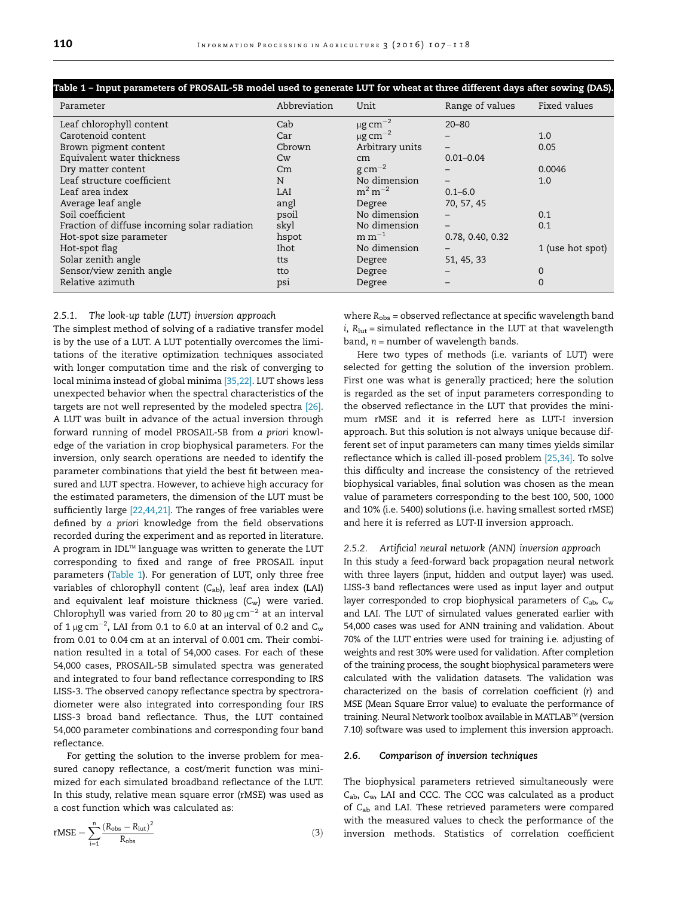| Table 1 – Input parameters of PROSAIL-5B model used to generate LUT for wheat at three different days after sowing (DAS). |                        |                               |                   |                  |  |  |  |  |  |  |
|---------------------------------------------------------------------------------------------------------------------------|------------------------|-------------------------------|-------------------|------------------|--|--|--|--|--|--|
| Parameter                                                                                                                 | Abbreviation           | Unit                          | Range of values   | Fixed values     |  |  |  |  |  |  |
| Leaf chlorophyll content                                                                                                  | Cab                    | $\mu$ g cm <sup>-2</sup>      | $20 - 80$         |                  |  |  |  |  |  |  |
| Carotenoid content                                                                                                        | Car                    | $\mu$ g cm <sup>-2</sup>      |                   | 1.0              |  |  |  |  |  |  |
| Brown pigment content                                                                                                     | Cbrown                 | Arbitrary units               |                   | 0.05             |  |  |  |  |  |  |
| Equivalent water thickness                                                                                                | $\mathsf{C}\mathsf{w}$ | cm                            | $0.01 - 0.04$     |                  |  |  |  |  |  |  |
| Dry matter content                                                                                                        | $\,$ C $\,$ m          | $\rm g\,cm^{-2}$              |                   | 0.0046           |  |  |  |  |  |  |
| Leaf structure coefficient                                                                                                | N                      | No dimension                  |                   | 1.0              |  |  |  |  |  |  |
| Leaf area index                                                                                                           | LAI                    | $m^2 m^{-2}$                  | $0.1 - 6.0$       |                  |  |  |  |  |  |  |
| Average leaf angle                                                                                                        | angl                   | Degree                        | 70, 57, 45        |                  |  |  |  |  |  |  |
| Soil coefficient                                                                                                          | psoil                  | No dimension                  |                   | 0.1              |  |  |  |  |  |  |
| Fraction of diffuse incoming solar radiation                                                                              | skyl                   | No dimension                  | $\qquad \qquad -$ | 0.1              |  |  |  |  |  |  |
| Hot-spot size parameter                                                                                                   | hspot                  | $\mathrm{m}\,\mathrm{m}^{-1}$ | 0.78, 0.40, 0.32  |                  |  |  |  |  |  |  |
| Hot-spot flag                                                                                                             | Ihot                   | No dimension                  | $\qquad \qquad$   | 1 (use hot spot) |  |  |  |  |  |  |
| Solar zenith angle                                                                                                        | tts                    | Degree                        | 51, 45, 33        |                  |  |  |  |  |  |  |
| Sensor/view zenith angle                                                                                                  | tto                    | Degree                        |                   | 0                |  |  |  |  |  |  |
| Relative azimuth                                                                                                          | psi                    | Degree                        |                   | 0                |  |  |  |  |  |  |

#### *2.5.1. The look-up table (LUT) inversion approach*

The simplest method of solving of a radiative transfer model is by the use of a LUT. A LUT potentially overcomes the limitations of the iterative optimization techniques associated with longer computation time and the risk of converging to local minima instead of global minima [35,22]. LUT shows less unexpected behavior when the spectral characteristics of the targets are not well represented by the modeled spectra [26]. A LUT was built in advance of the actual inversion through forward running of model PROSAIL-5B from *a priori* knowledge of the variation in crop biophysical parameters. For the inversion, only search operations are needed to identify the parameter combinations that yield the best fit between measured and LUT spectra. However, to achieve high accuracy for the estimated parameters, the dimension of the LUT must be sufficiently large [22,44,21]. The ranges of free variables were defined by *a priori* knowledge from the field observations recorded during the experiment and as reported in literature. A program in IDL™ language was written to generate the LUT corresponding to fixed and range of free PROSAIL input parameters (Table 1). For generation of LUT, only three free variables of chlorophyll content (C<sub>ab</sub>), leaf area index (LAI) and equivalent leaf moisture thickness (C<sub>w</sub>) were varied. Chlorophyll was varied from 20 to 80  $\mu$ g cm<sup>-2</sup> at an interval of 1  $\mu$ g cm<sup>-2</sup>, LAI from 0.1 to 6.0 at an interval of 0.2 and  $C_w$ from 0.01 to 0.04 cm at an interval of 0.001 cm. Their combination resulted in a total of 54,000 cases. For each of these 54,000 cases, PROSAIL-5B simulated spectra was generated and integrated to four band reflectance corresponding to IRS LISS-3. The observed canopy reflectance spectra by spectroradiometer were also integrated into corresponding four IRS LISS-3 broad band reflectance. Thus, the LUT contained 54,000 parameter combinations and corresponding four band reflectance.

For getting the solution to the inverse problem for measured canopy reflectance, a cost/merit function was minimized for each simulated broadband reflectance of the LUT. In this study, relative mean square error (rMSE) was used as a cost function which was calculated as:

$$
rMSE = \sum_{i=1}^{n} \frac{(R_{obs} - R_{\text{lut}})^2}{R_{obs}} \tag{3}
$$

where  $R_{\text{obs}}$  = observed reflectance at specific wavelength band *i*,  $R_{\text{lut}}$  = simulated reflectance in the LUT at that wavelength band, *n* = number of wavelength bands.

Here two types of methods (i.e. variants of LUT) were selected for getting the solution of the inversion problem. First one was what is generally practiced; here the solution is regarded as the set of input parameters corresponding to the observed reflectance in the LUT that provides the minimum rMSE and it is referred here as LUT-I inversion approach. But this solution is not always unique because different set of input parameters can many times yields similar reflectance which is called ill-posed problem [25,34]. To solve this difficulty and increase the consistency of the retrieved biophysical variables, final solution was chosen as the mean value of parameters corresponding to the best 100, 500, 1000 and 10% (i.e. 5400) solutions (i.e. having smallest sorted rMSE) and here it is referred as LUT-II inversion approach.

# *2.5.2. Artificial neural network (ANN) inversion approach*

In this study a feed-forward back propagation neural network with three layers (input, hidden and output layer) was used. LISS-3 band reflectances were used as input layer and output layer corresponded to crop biophysical parameters of *C*ab, *C*<sup>w</sup> and LAI. The LUT of simulated values generated earlier with 54,000 cases was used for ANN training and validation. About 70% of the LUT entries were used for training i.e. adjusting of weights and rest 30% were used for validation. After completion of the training process, the sought biophysical parameters were calculated with the validation datasets. The validation was characterized on the basis of correlation coefficient (*r*) and MSE (Mean Square Error value) to evaluate the performance of training. Neural Network toolbox available in MATLAB™ (version 7.10) software was used to implement this inversion approach.

#### 2.6. Comparison of inversion techniques

The biophysical parameters retrieved simultaneously were *C*ab, *C*w, LAI and CCC. The CCC was calculated as a product of *C*ab and LAI. These retrieved parameters were compared with the measured values to check the performance of the inversion methods. Statistics of correlation coefficient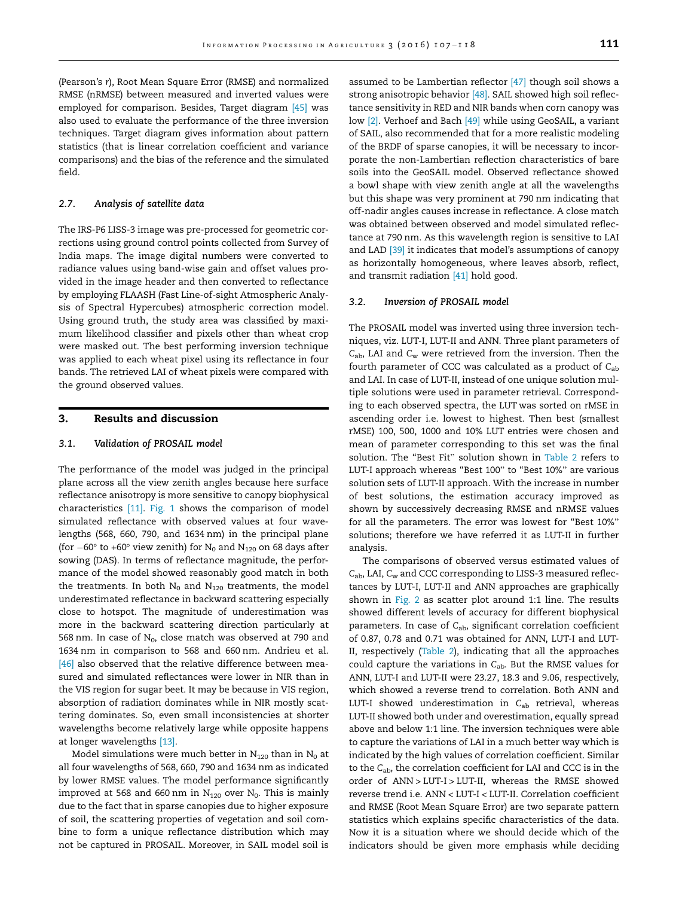(Pearson's *r*), Root Mean Square Error (RMSE) and normalized RMSE (nRMSE) between measured and inverted values were employed for comparison. Besides, Target diagram [45] was also used to evaluate the performance of the three inversion techniques. Target diagram gives information about pattern statistics (that is linear correlation coefficient and variance comparisons) and the bias of the reference and the simulated field.

# 2.7. Analysis of satellite data

The IRS-P6 LISS-3 image was pre-processed for geometric corrections using ground control points collected from Survey of India maps. The image digital numbers were converted to radiance values using band-wise gain and offset values provided in the image header and then converted to reflectance by employing FLAASH (Fast Line-of-sight Atmospheric Analysis of Spectral Hypercubes) atmospheric correction model. Using ground truth, the study area was classified by maximum likelihood classifier and pixels other than wheat crop were masked out. The best performing inversion technique was applied to each wheat pixel using its reflectance in four bands. The retrieved LAI of wheat pixels were compared with the ground observed values.

# 3. Results and discussion

### 3.1. Validation of PROSAIL model

The performance of the model was judged in the principal plane across all the view zenith angles because here surface reflectance anisotropy is more sensitive to canopy biophysical characteristics [11]. Fig. 1 shows the comparison of model simulated reflectance with observed values at four wavelengths (568, 660, 790, and 1634 nm) in the principal plane (for  $-60^\circ$  to +60 $^\circ$  view zenith) for N<sub>0</sub> and N<sub>120</sub> on 68 days after sowing (DAS). In terms of reflectance magnitude, the performance of the model showed reasonably good match in both the treatments. In both  $N_0$  and  $N_{120}$  treatments, the model underestimated reflectance in backward scattering especially close to hotspot. The magnitude of underestimation was more in the backward scattering direction particularly at 568 nm. In case of  $N_0$ , close match was observed at 790 and 1634 nm in comparison to 568 and 660 nm. Andrieu et al. [46] also observed that the relative difference between measured and simulated reflectances were lower in NIR than in the VIS region for sugar beet. It may be because in VIS region, absorption of radiation dominates while in NIR mostly scattering dominates. So, even small inconsistencies at shorter wavelengths become relatively large while opposite happens at longer wavelengths [13].

Model simulations were much better in  $N_{120}$  than in  $N_0$  at all four wavelengths of 568, 660, 790 and 1634 nm as indicated by lower RMSE values. The model performance significantly improved at 568 and 660 nm in  $N_{120}$  over  $N_0$ . This is mainly due to the fact that in sparse canopies due to higher exposure of soil, the scattering properties of vegetation and soil combine to form a unique reflectance distribution which may not be captured in PROSAIL. Moreover, in SAIL model soil is

assumed to be Lambertian reflector [47] though soil shows a strong anisotropic behavior [48]. SAIL showed high soil reflectance sensitivity in RED and NIR bands when corn canopy was low [2]. Verhoef and Bach [49] while using GeoSAIL, a variant of SAIL, also recommended that for a more realistic modeling of the BRDF of sparse canopies, it will be necessary to incorporate the non-Lambertian reflection characteristics of bare soils into the GeoSAIL model. Observed reflectance showed a bowl shape with view zenith angle at all the wavelengths but this shape was very prominent at 790 nm indicating that off-nadir angles causes increase in reflectance. A close match was obtained between observed and model simulated reflectance at 790 nm. As this wavelength region is sensitive to LAI and LAD [39] it indicates that model's assumptions of canopy as horizontally homogeneous, where leaves absorb, reflect, and transmit radiation [41] hold good.

#### 3.2. Inversion of PROSAIL model

The PROSAIL model was inverted using three inversion techniques, viz. LUT-I, LUT-II and ANN. Three plant parameters of *C*ab, LAI and *C*<sup>w</sup> were retrieved from the inversion. Then the fourth parameter of CCC was calculated as a product of *C*ab and LAI. In case of LUT-II, instead of one unique solution multiple solutions were used in parameter retrieval. Corresponding to each observed spectra, the LUT was sorted on rMSE in ascending order i.e. lowest to highest. Then best (smallest rMSE) 100, 500, 1000 and 10% LUT entries were chosen and mean of parameter corresponding to this set was the final solution. The ''Best Fit" solution shown in Table 2 refers to LUT-I approach whereas ''Best 100" to ''Best 10%" are various solution sets of LUT-II approach. With the increase in number of best solutions, the estimation accuracy improved as shown by successively decreasing RMSE and nRMSE values for all the parameters. The error was lowest for "Best 10%" solutions; therefore we have referred it as LUT-II in further analysis.

The comparisons of observed versus estimated values of *C*ab, LAI, *C*<sup>w</sup> and CCC corresponding to LISS-3 measured reflectances by LUT-I, LUT-II and ANN approaches are graphically shown in Fig. 2 as scatter plot around 1:1 line. The results showed different levels of accuracy for different biophysical parameters. In case of C<sub>ab</sub>, significant correlation coefficient of 0.87, 0.78 and 0.71 was obtained for ANN, LUT-I and LUT-II, respectively (Table 2), indicating that all the approaches could capture the variations in *C*ab. But the RMSE values for ANN, LUT-I and LUT-II were 23.27, 18.3 and 9.06, respectively, which showed a reverse trend to correlation. Both ANN and LUT-I showed underestimation in C<sub>ab</sub> retrieval, whereas LUT-II showed both under and overestimation, equally spread above and below 1:1 line. The inversion techniques were able to capture the variations of LAI in a much better way which is indicated by the high values of correlation coefficient. Similar to the *C*ab, the correlation coefficient for LAI and CCC is in the order of ANN > LUT-I > LUT-II, whereas the RMSE showed reverse trend i.e. ANN < LUT-I < LUT-II. Correlation coefficient and RMSE (Root Mean Square Error) are two separate pattern statistics which explains specific characteristics of the data. Now it is a situation where we should decide which of the indicators should be given more emphasis while deciding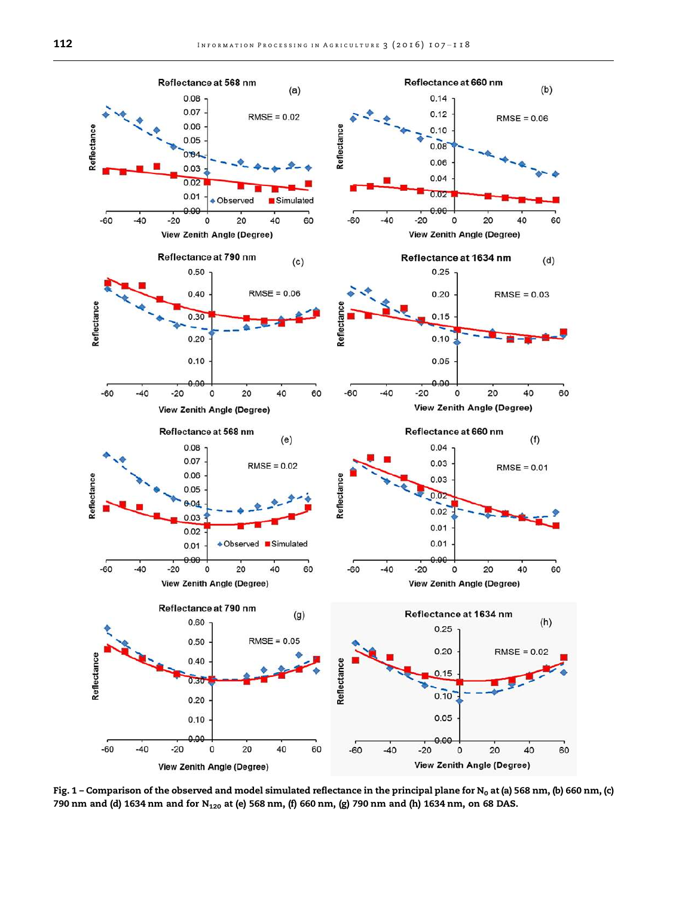

Fig. 1 – Comparison of the observed and model simulated reflectance in the principal plane for N<sub>0</sub> at (a) 568 nm, (b) 660 nm, (c) 790 nm and (d) 1634 nm and for N<sub>120</sub> at (e) 568 nm, (f) 660 nm, (g) 790 nm and (h) 1634 nm, on 68 DAS.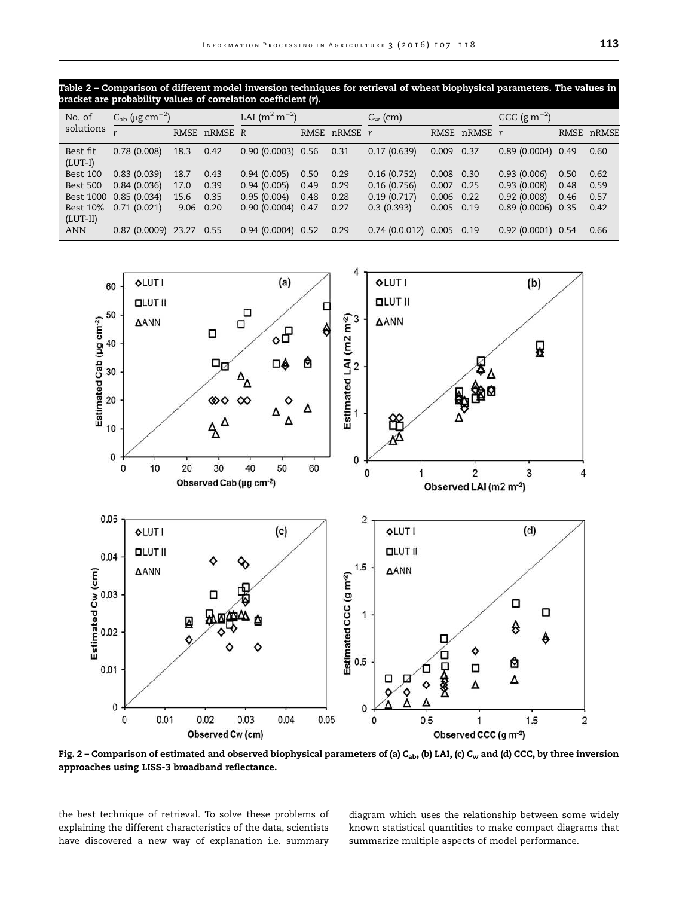Table 2 – Comparison of different model inversion techniques for retrieval of wheat biophysical parameters. The values in bracket are probability values of correlation coefficient (r).

| No. of<br>solutions           | $C_{ab}$ (µg cm <sup>-2</sup> ) |      | LAI $(m^2 m^{-2})$ |                     | $C_{\rm w}$ (cm) |              | $CCC (g m-2)$                     |              |              |                     |      |            |
|-------------------------------|---------------------------------|------|--------------------|---------------------|------------------|--------------|-----------------------------------|--------------|--------------|---------------------|------|------------|
|                               |                                 |      | RMSE nRMSE R       |                     |                  | RMSE nRMSE r |                                   |              | RMSE nRMSE r |                     |      | RMSE nRMSE |
| Best fit<br>$(LUT-I)$         | 0.78(0.008)                     | 18.3 | 0.42               | $0.90(0.0003)$ 0.56 |                  | 0.31         | 0.17(0.639)                       | 0.009        | 0.37         | $0.89(0.0004)$ 0.49 |      | 0.60       |
| <b>Best 100</b>               | 0.83(0.039)                     | 18.7 | 0.43               | 0.94(0.005)         | 0.50             | 0.29         | 0.16(0.752)                       | 0.008 0.30   |              | 0.93(0.006)         | 0.50 | 0.62       |
| <b>Best 500</b>               | 0.84(0.036)                     | 17.0 | 0.39               | 0.94(0.005)         | 0.49             | 0.29         | 0.16(0.756)                       | $0.007$ 0.25 |              | 0.93(0.008)         | 0.48 | 0.59       |
|                               | Best 1000 0.85 (0.034)          | 15.6 | 0.35               | 0.95(0.004)         | 0.48             | 0.28         | 0.19(0.717)                       | $0.006$ 0.22 |              | 0.92(0.008)         | 0.46 | 0.57       |
| <b>Best 10%</b><br>$(LUT-II)$ | 0.71(0.021)                     | 9.06 | 0.20               | 0.90(0.0004)        | 0.47             | 0.27         | 0.3(0.393)                        | $0.005$ 0.19 |              | $0.89(0.0006)$ 0.35 |      | 0.42       |
| <b>ANN</b>                    | 0.87 (0.0009) 23.27             |      | 0.55               | $0.94(0.0004)$ 0.52 |                  | 0.29         | $0.74$ $(0.0.012)$ $0.005$ $0.19$ |              |              | 0.92 (0.0001) 0.54  |      | 0.66       |



Fig. 2 – Comparison of estimated and observed biophysical parameters of (a) C<sub>ab</sub>, (b) LAI, (c) C<sub>w</sub> and (d) CCC, by three inversion approaches using LISS-3 broadband reflectance.

the best technique of retrieval. To solve these problems of explaining the different characteristics of the data, scientists have discovered a new way of explanation i.e. summary

diagram which uses the relationship between some widely known statistical quantities to make compact diagrams that summarize multiple aspects of model performance.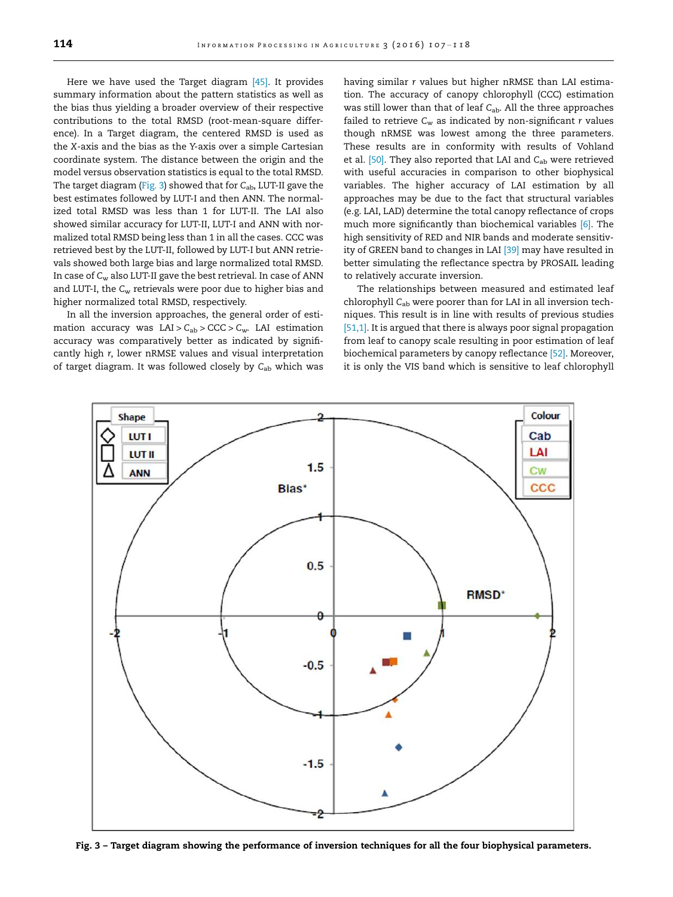Here we have used the Target diagram [45]. It provides summary information about the pattern statistics as well as the bias thus yielding a broader overview of their respective contributions to the total RMSD (root-mean-square difference). In a Target diagram, the centered RMSD is used as the *X*-axis and the bias as the *Y*-axis over a simple Cartesian coordinate system. The distance between the origin and the model versus observation statistics is equal to the total RMSD. The target diagram (Fig. 3) showed that for *C*ab, LUT-II gave the best estimates followed by LUT-I and then ANN. The normalized total RMSD was less than 1 for LUT-II. The LAI also showed similar accuracy for LUT-II, LUT-I and ANN with normalized total RMSD being less than 1 in all the cases. CCC was retrieved best by the LUT-II, followed by LUT-I but ANN retrievals showed both large bias and large normalized total RMSD. In case of *C*<sup>w</sup> also LUT-II gave the best retrieval. In case of ANN and LUT-I, the *C*<sup>w</sup> retrievals were poor due to higher bias and higher normalized total RMSD, respectively.

In all the inversion approaches, the general order of estimation accuracy was  $LAI > C_{ab} > CCC > C_w$ . LAI estimation accuracy was comparatively better as indicated by significantly high *r*, lower nRMSE values and visual interpretation of target diagram. It was followed closely by *C*ab which was having similar *r* values but higher nRMSE than LAI estimation. The accuracy of canopy chlorophyll (CCC) estimation was still lower than that of leaf C<sub>ab</sub>. All the three approaches failed to retrieve *C*<sup>w</sup> as indicated by non-significant *r* values though nRMSE was lowest among the three parameters. These results are in conformity with results of Vohland et al. [50]. They also reported that LAI and C<sub>ab</sub> were retrieved with useful accuracies in comparison to other biophysical variables. The higher accuracy of LAI estimation by all approaches may be due to the fact that structural variables (e.g. LAI, LAD) determine the total canopy reflectance of crops much more significantly than biochemical variables [6]. The high sensitivity of RED and NIR bands and moderate sensitivity of GREEN band to changes in LAI <a>[39]</a> may have resulted in better simulating the reflectance spectra by PROSAIL leading to relatively accurate inversion.

The relationships between measured and estimated leaf chlorophyll *C*ab were poorer than for LAI in all inversion techniques. This result is in line with results of previous studies [51,1]. It is argued that there is always poor signal propagation from leaf to canopy scale resulting in poor estimation of leaf biochemical parameters by canopy reflectance [52]. Moreover, it is only the VIS band which is sensitive to leaf chlorophyll



Fig. 3 – Target diagram showing the performance of inversion techniques for all the four biophysical parameters.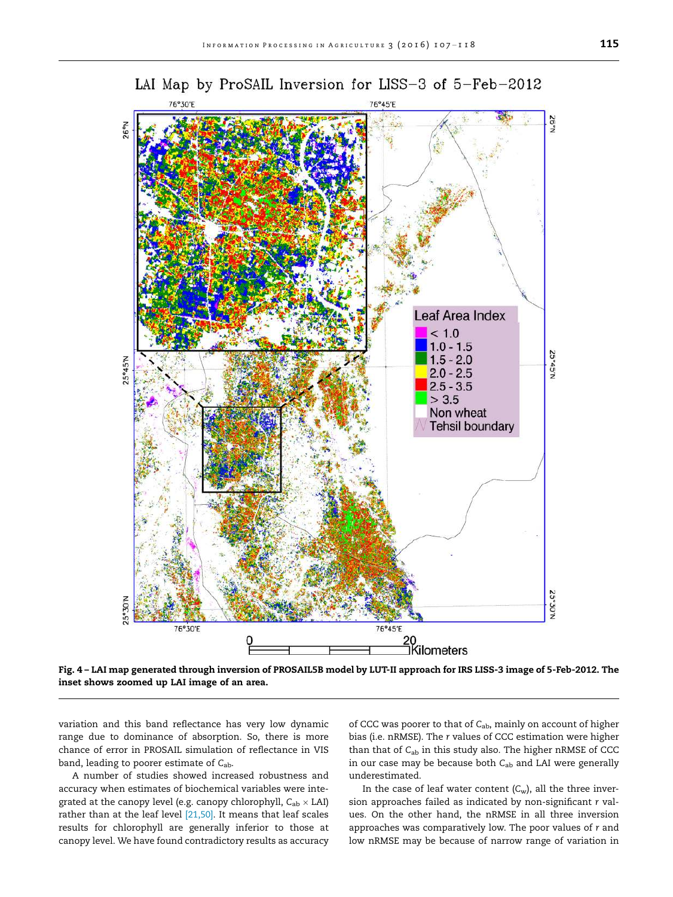

Fig. 4 – LAI map generated through inversion of PROSAIL5B model by LUT-II approach for IRS LISS-3 image of 5-Feb-2012. The inset shows zoomed up LAI image of an area.

variation and this band reflectance has very low dynamic range due to dominance of absorption. So, there is more chance of error in PROSAIL simulation of reflectance in VIS band, leading to poorer estimate of *C*ab.

A number of studies showed increased robustness and accuracy when estimates of biochemical variables were integrated at the canopy level (e.g. canopy chlorophyll,  $C_{ab} \times LAI$ ) rather than at the leaf level <a>[21,50]</a>. It means that leaf scales results for chlorophyll are generally inferior to those at canopy level. We have found contradictory results as accuracy of CCC was poorer to that of *C*ab, mainly on account of higher bias (i.e. nRMSE). The *r* values of CCC estimation were higher than that of *C*ab in this study also. The higher nRMSE of CCC in our case may be because both *C*ab and LAI were generally underestimated.

In the case of leaf water content  $(C_w)$ , all the three inversion approaches failed as indicated by non-significant *r* values. On the other hand, the nRMSE in all three inversion approaches was comparatively low. The poor values of *r* and low nRMSE may be because of narrow range of variation in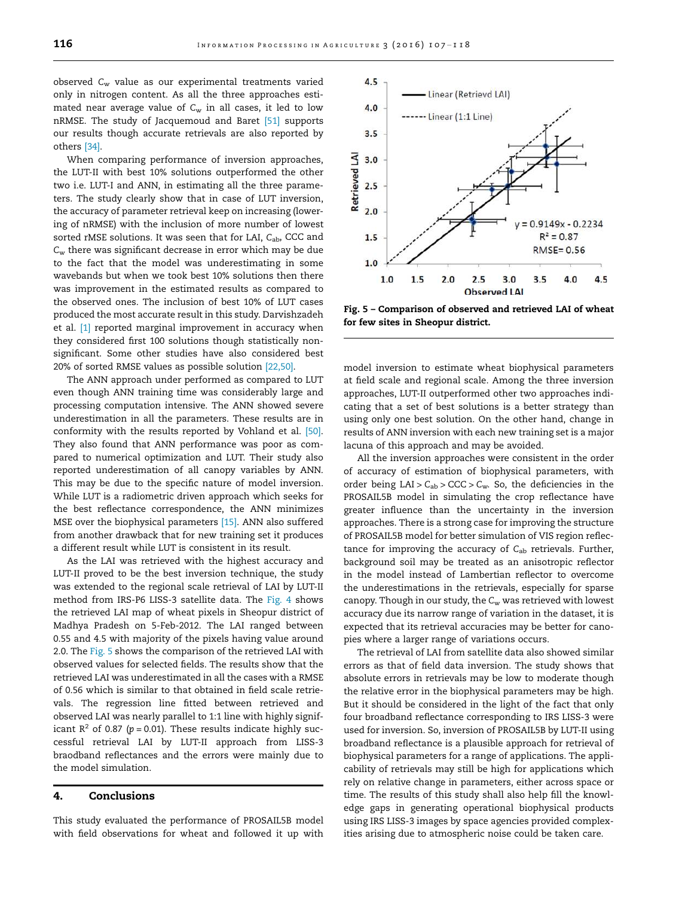observed *C*<sup>w</sup> value as our experimental treatments varied only in nitrogen content. As all the three approaches estimated near average value of *C*<sup>w</sup> in all cases, it led to low nRMSE. The study of Jacquemoud and Baret [51] supports our results though accurate retrievals are also reported by others [34].

When comparing performance of inversion approaches, the LUT-II with best 10% solutions outperformed the other two i.e. LUT-I and ANN, in estimating all the three parameters. The study clearly show that in case of LUT inversion, the accuracy of parameter retrieval keep on increasing (lowering of nRMSE) with the inclusion of more number of lowest sorted rMSE solutions. It was seen that for LAI, C<sub>ab</sub>, CCC and *C*<sup>w</sup> there was significant decrease in error which may be due to the fact that the model was underestimating in some wavebands but when we took best 10% solutions then there was improvement in the estimated results as compared to the observed ones. The inclusion of best 10% of LUT cases produced the most accurate result in this study. Darvishzadeh et al. [1] reported marginal improvement in accuracy when they considered first 100 solutions though statistically nonsignificant. Some other studies have also considered best 20% of sorted RMSE values as possible solution [22,50].

The ANN approach under performed as compared to LUT even though ANN training time was considerably large and processing computation intensive. The ANN showed severe underestimation in all the parameters. These results are in conformity with the results reported by Vohland et al. [50]. They also found that ANN performance was poor as compared to numerical optimization and LUT. Their study also reported underestimation of all canopy variables by ANN. This may be due to the specific nature of model inversion. While LUT is a radiometric driven approach which seeks for the best reflectance correspondence, the ANN minimizes MSE over the biophysical parameters [15]. ANN also suffered from another drawback that for new training set it produces a different result while LUT is consistent in its result.

As the LAI was retrieved with the highest accuracy and LUT-II proved to be the best inversion technique, the study was extended to the regional scale retrieval of LAI by LUT-II method from IRS-P6 LISS-3 satellite data. The Fig. 4 shows the retrieved LAI map of wheat pixels in Sheopur district of Madhya Pradesh on 5-Feb-2012. The LAI ranged between 0.55 and 4.5 with majority of the pixels having value around 2.0. The Fig. 5 shows the comparison of the retrieved LAI with observed values for selected fields. The results show that the retrieved LAI was underestimated in all the cases with a RMSE of 0.56 which is similar to that obtained in field scale retrievals. The regression line fitted between retrieved and observed LAI was nearly parallel to 1:1 line with highly significant  $R^2$  of 0.87 ( $p = 0.01$ ). These results indicate highly successful retrieval LAI by LUT-II approach from LISS-3 braodband reflectances and the errors were mainly due to the model simulation.

## 4. Conclusions

This study evaluated the performance of PROSAIL5B model with field observations for wheat and followed it up with



Fig. 5 – Comparison of observed and retrieved LAI of wheat for few sites in Sheopur district.

model inversion to estimate wheat biophysical parameters at field scale and regional scale. Among the three inversion approaches, LUT-II outperformed other two approaches indicating that a set of best solutions is a better strategy than using only one best solution. On the other hand, change in results of ANN inversion with each new training set is a major lacuna of this approach and may be avoided.

All the inversion approaches were consistent in the order of accuracy of estimation of biophysical parameters, with order being LAI > *C*ab > CCC > *C*w. So, the deficiencies in the PROSAIL5B model in simulating the crop reflectance have greater influence than the uncertainty in the inversion approaches. There is a strong case for improving the structure of PROSAIL5B model for better simulation of VIS region reflectance for improving the accuracy of C<sub>ab</sub> retrievals. Further, background soil may be treated as an anisotropic reflector in the model instead of Lambertian reflector to overcome the underestimations in the retrievals, especially for sparse canopy. Though in our study, the *C*<sup>w</sup> was retrieved with lowest accuracy due its narrow range of variation in the dataset, it is expected that its retrieval accuracies may be better for canopies where a larger range of variations occurs.

The retrieval of LAI from satellite data also showed similar errors as that of field data inversion. The study shows that absolute errors in retrievals may be low to moderate though the relative error in the biophysical parameters may be high. But it should be considered in the light of the fact that only four broadband reflectance corresponding to IRS LISS-3 were used for inversion. So, inversion of PROSAIL5B by LUT-II using broadband reflectance is a plausible approach for retrieval of biophysical parameters for a range of applications. The applicability of retrievals may still be high for applications which rely on relative change in parameters, either across space or time. The results of this study shall also help fill the knowledge gaps in generating operational biophysical products using IRS LISS-3 images by space agencies provided complexities arising due to atmospheric noise could be taken care.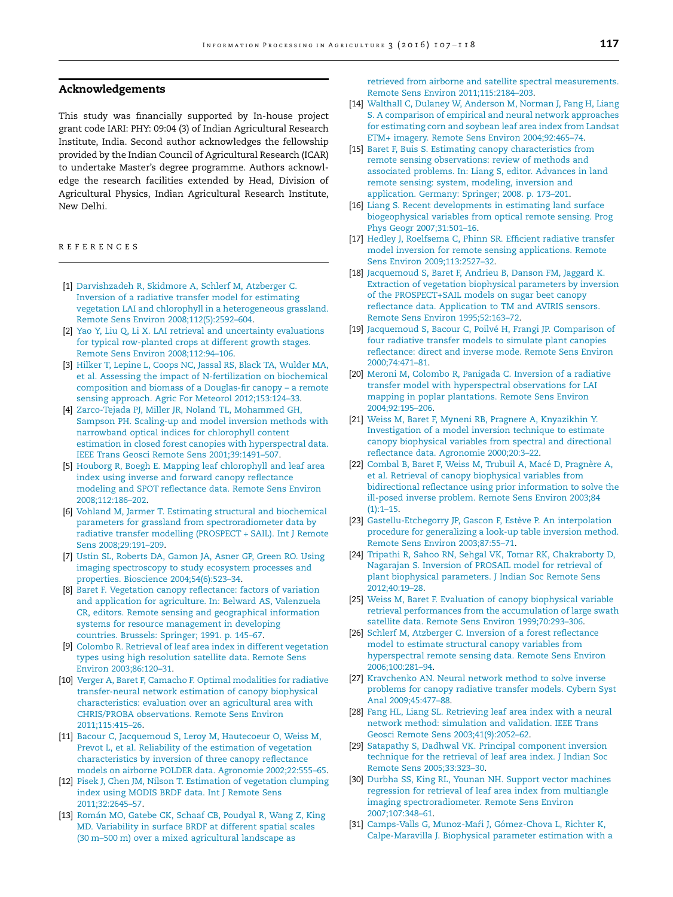### Acknowledgements

This study was financially supported by In-house project grant code IARI: PHY: 09:04 (3) of Indian Agricultural Research Institute, India. Second author acknowledges the fellowship provided by the Indian Council of Agricultural Research (ICAR) to undertake Master's degree programme. Authors acknowledge the research facilities extended by Head, Division of Agricultural Physics, Indian Agricultural Research Institute, New Delhi.

REFERENCES

- [1] Darvishzadeh R, Skidmore A, Schlerf M, Atzberger C. Inversion of a radiative transfer model for estimating vegetation LAI and chlorophyll in a heterogeneous grassland. Remote Sens Environ 2008;112(5):2592–604.
- [2] Yao Y, Liu Q, Li X. LAI retrieval and uncertainty evaluations for typical row-planted crops at different growth stages. Remote Sens Environ 2008;112:94–106.
- [3] Hilker T, Lepine L, Coops NC, Jassal RS, Black TA, Wulder MA, et al. Assessing the impact of N-fertilization on biochemical composition and biomass of a Douglas-fir canopy – a remote sensing approach. Agric For Meteorol 2012;153:124–33.
- [4] Zarco-Tejada PJ, Miller JR, Noland TL, Mohammed GH, Sampson PH. Scaling-up and model inversion methods with narrowband optical indices for chlorophyll content estimation in closed forest canopies with hyperspectral data. IEEE Trans Geosci Remote Sens 2001;39:1491–507.
- [5] Houborg R, Boegh E. Mapping leaf chlorophyll and leaf area index using inverse and forward canopy reflectance modeling and SPOT reflectance data. Remote Sens Environ 2008;112:186–202.
- [6] Vohland M, Jarmer T. Estimating structural and biochemical parameters for grassland from spectroradiometer data by radiative transfer modelling (PROSPECT + SAIL). Int J Remote Sens 2008;29:191–209.
- [7] Ustin SL, Roberts DA, Gamon JA, Asner GP, Green RO. Using imaging spectroscopy to study ecosystem processes and properties. Bioscience 2004;54(6):523–34.
- [8] Baret F. Vegetation canopy reflectance: factors of variation and application for agriculture. In: Belward AS, Valenzuela CR, editors. Remote sensing and geographical information systems for resource management in developing countries. Brussels: Springer; 1991. p. 145–67.
- [9] Colombo R. Retrieval of leaf area index in different vegetation types using high resolution satellite data. Remote Sens Environ 2003;86:120–31.
- [10] Verger A, Baret F, Camacho F. Optimal modalities for radiative transfer-neural network estimation of canopy biophysical characteristics: evaluation over an agricultural area with CHRIS/PROBA observations. Remote Sens Environ 2011;115:415–26.
- [11] Bacour C, Jacquemoud S, Leroy M, Hautecoeur O, Weiss M, Prevot L, et al. Reliability of the estimation of vegetation characteristics by inversion of three canopy reflectance models on airborne POLDER data. Agronomie 2002;22:555–65.
- [12] Pisek J, Chen JM, Nilson T. Estimation of vegetation clumping index using MODIS BRDF data. Int J Remote Sens 2011;32:2645–57.
- [13] Román MO, Gatebe CK, Schaaf CB, Poudyal R, Wang Z, King MD. Variability in surface BRDF at different spatial scales (30 m–500 m) over a mixed agricultural landscape as

retrieved from airborne and satellite spectral measurements. Remote Sens Environ 2011;115:2184–203.

- [14] Walthall C, Dulaney W, Anderson M, Norman J, Fang H, Liang S. A comparison of empirical and neural network approaches for estimating corn and soybean leaf area index from Landsat ETM+ imagery. Remote Sens Environ 2004;92:465–74.
- [15] Baret F, Buis S. Estimating canopy characteristics from remote sensing observations: review of methods and associated problems. In: Liang S, editor. Advances in land remote sensing: system, modeling, inversion and application. Germany: Springer; 2008. p. 173–201.
- [16] Liang S. Recent developments in estimating land surface biogeophysical variables from optical remote sensing. Prog Phys Geogr 2007;31:501–16.
- [17] Hedley J, Roelfsema C, Phinn SR. Efficient radiative transfer model inversion for remote sensing applications. Remote Sens Environ 2009;113:2527–32.
- [18] Jacquemoud S, Baret F, Andrieu B, Danson FM, Jaggard K. Extraction of vegetation biophysical parameters by inversion of the PROSPECT+SAIL models on sugar beet canopy reflectance data. Application to TM and AVIRIS sensors. Remote Sens Environ 1995;52:163–72.
- [19] Jacquemoud S, Bacour C, Poilvé H, Frangi JP. Comparison of four radiative transfer models to simulate plant canopies reflectance: direct and inverse mode. Remote Sens Environ 2000;74:471–81.
- [20] Meroni M, Colombo R, Panigada C. Inversion of a radiative transfer model with hyperspectral observations for LAI mapping in poplar plantations. Remote Sens Environ 2004;92:195–206.
- [21] Weiss M, Baret F, Myneni RB, Pragnere A, Knyazikhin Y. Investigation of a model inversion technique to estimate canopy biophysical variables from spectral and directional reflectance data. Agronomie 2000;20:3–22.
- [22] Combal B, Baret F, Weiss M, Trubuil A, Macé D, Pragnère A, et al. Retrieval of canopy biophysical variables from bidirectional reflectance using prior information to solve the ill-posed inverse problem. Remote Sens Environ 2003;84  $(1):1-15.$
- [23] Gastellu-Etchegorry JP, Gascon F, Estève P. An interpolation procedure for generalizing a look-up table inversion method. Remote Sens Environ 2003;87:55–71.
- [24] Tripathi R, Sahoo RN, Sehgal VK, Tomar RK, Chakraborty D, Nagarajan S. Inversion of PROSAIL model for retrieval of plant biophysical parameters. J Indian Soc Remote Sens 2012;40:19–28.
- [25] Weiss M, Baret F. Evaluation of canopy biophysical variable retrieval performances from the accumulation of large swath satellite data. Remote Sens Environ 1999;70:293–306.
- [26] Schlerf M, Atzberger C. Inversion of a forest reflectance model to estimate structural canopy variables from hyperspectral remote sensing data. Remote Sens Environ 2006;100:281–94.
- [27] Kravchenko AN. Neural network method to solve inverse problems for canopy radiative transfer models. Cybern Syst Anal 2009;45:477–88.
- [28] Fang HL, Liang SL. Retrieving leaf area index with a neural network method: simulation and validation. IEEE Trans Geosci Remote Sens 2003;41(9):2052–62.
- [29] Satapathy S, Dadhwal VK. Principal component inversion technique for the retrieval of leaf area index. J Indian Soc Remote Sens 2005;33:323–30.
- [30] Durbha SS, King RL, Younan NH. Support vector machines regression for retrieval of leaf area index from multiangle imaging spectroradiometer. Remote Sens Environ 2007;107:348–61.
- [31] Camps-Valls G, Munoz-Maŕi J, Gómez-Chova L, Richter K, Calpe-Maravilla J. Biophysical parameter estimation with a